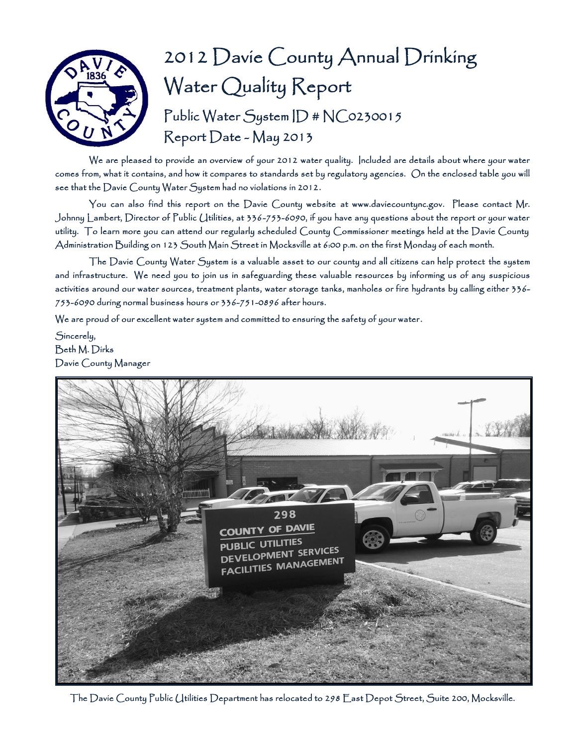

# 2012 Davie County Annual Drinking Water Quality Report Public Water System ID # NC0230015 Report Date - May 2013

We are pleased to provide an overview of your 2012 water quality. Included are details about where your water comes from, what it contains, and how it compares to standards set by regulatory agencies. On the enclosed table you will see that the Davie County Water System had no violations in 2012.

You can also find this report on the Davie County website at www.daviecountync.gov. Please contact Mr. Johnny Lambert, Director of Public Utilities, at 336-753-6090, if you have any questions about the report or your water utility. To learn more you can attend our regularly scheduled County Commissioner meetings held at the Davie County Administration Building on 123 South Main Street in Mocksville at 6:00 p.m. on the first Monday of each month.

The Davie County Water System is a valuable asset to our county and all citizens can help protect the system and infrastructure. We need you to join us in safeguarding these valuable resources by informing us of any suspicious activities around our water sources, treatment plants, water storage tanks, manholes or fire hydrants by calling either 336- 753-6090 during normal business hours or 336-751-0896 after hours.

We are proud of our excellent water system and committed to ensuring the safety of your water.

Sincerely, Beth M. Dirks Davie County Manager



The Davie County Public Utilities Department has relocated to 298 East Depot Street, Suite 200, Mocksville.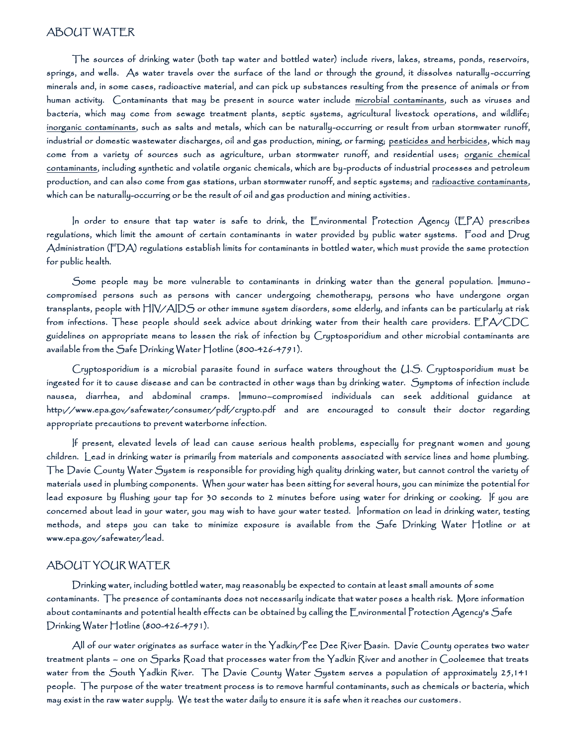### ABOUT WATER

 The sources of drinking water (both tap water and bottled water) include rivers, lakes, streams, ponds, reservoirs, springs, and wells. As water travels over the surface of the land or through the ground, it dissolves naturally -occurring minerals and, in some cases, radioactive material, and can pick up substances resulting from the presence of animals or from human activity. Contaminants that may be present in source water include microbial contaminants, such as viruses and bacteria, which may come from sewage treatment plants, septic systems, agricultural livestock operations, and wildlife; inorganic contaminants, such as salts and metals, which can be naturally-occurring or result from urban stormwater runoff, industrial or domestic wastewater discharges, oil and gas production, mining, or farming; pesticides and herbicides, which may come from a variety of sources such as agriculture, urban stormwater runoff, and residential uses; organic chemical contaminants, including synthetic and volatile organic chemicals, which are by-products of industrial processes and petroleum production, and can also come from gas stations, urban stormwater runoff, and septic systems; and radioactive contaminants, which can be naturally-occurring or be the result of oil and gas production and mining activities .

 In order to ensure that tap water is safe to drink, the Environmental Protection Agency (EPA) prescribes regulations, which limit the amount of certain contaminants in water provided by public water systems. Food and Drug Administration (FDA) regulations establish limits for contaminants in bottled water, which must provide the same protection for public health.

 Some people may be more vulnerable to contaminants in drinking water than the general population. Immuno compromised persons such as persons with cancer undergoing chemotherapy, persons who have undergone organ transplants, people with HIV/AIDS or other immune system disorders, some elderly, and infants can be particularly at risk from infections. These people should seek advice about drinking water from their health care providers. EPA/CDC guidelines on appropriate means to lessen the risk of infection by Cryptosporidium and other microbial contaminants are available from the Safe Drinking Water Hotline (800-426-4791).

 Cryptosporidium is a microbial parasite found in surface waters throughout the U.S. Cryptosporidium must be ingested for it to cause disease and can be contracted in other ways than by drinking water. Symptoms of infection include nausea, diarrhea, and abdominal cramps. Immuno–compromised individuals can seek additional guidance at http://www.epa.gov/safewater/consumer/pdf/crypto.pdf and are encouraged to consult their doctor regarding appropriate precautions to prevent waterborne infection.

 If present, elevated levels of lead can cause serious health problems, especially for preg nant women and young children. Lead in drinking water is primarily from materials and components associated with service lines and home plumbing. The Davie County Water System is responsible for providing high quality drinking water, but cannot control the variety of materials used in plumbing components. When your water has been sitting for several hours, you can minimize the potential for lead exposure by flushing your tap for 30 seconds to 2 minutes before using water for drinking or cooking. If you are concerned about lead in your water, you may wish to have your water tested. Information on lead in drinking water, testing methods, and steps you can take to minimize exposure is available from the Safe Drinking Water Hotline or at www.epa.gov/safewater/lead.

#### ABOUT YOUR WATER

 Drinking water, including bottled water, may reasonably be expected to contain at least small amounts of some contaminants. The presence of contaminants does not necessarily indicate that water poses a health risk. More information about contaminants and potential health effects can be obtained by calling the Environmental Protection Agency's Safe Drinking Water Hotline (800-426-4791).

 All of our water originates as surface water in the Yadkin/Pee Dee River Basin. Davie County operates two water treatment plants – one on Sparks Road that processes water from the Yadkin River and another in Cooleemee that treats water from the South Yadkin River. The Davie County Water System serves a population of approximately 25,141 people. The purpose of the water treatment process is to remove harmful contaminants, such as chemicals or bacteria, which may exist in the raw water supply. We test the water daily to ensure it is safe when it reaches our customers .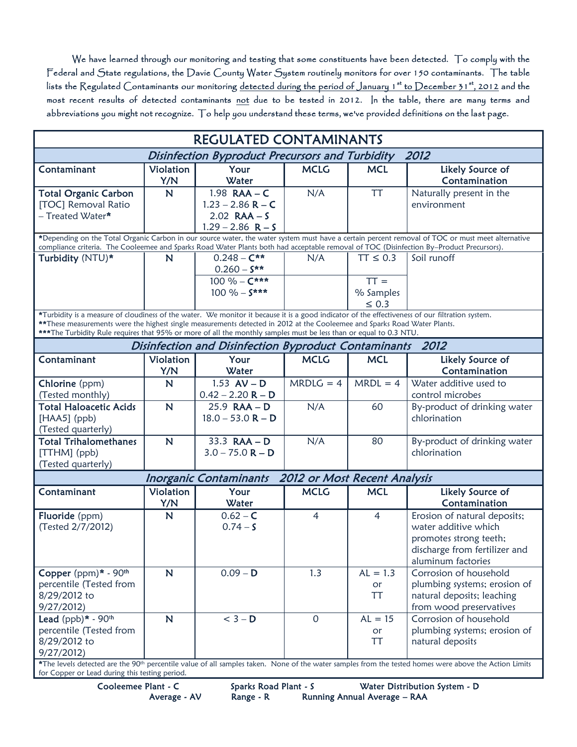We have learned through our monitoring and testing that some constituents have been detected. To comply with the Federal and State regulations, the Davie County Water System routinely monitors for over 150 contaminants. The table lists the Regulated Contaminants our monitoring <u>detected during the period of January 1st to December 31st, 2012</u> and the most recent results of detected contaminants not due to be tested in 2012. In the table, there are many terms and abbreviations you might not recognize. To help you understand these terms, we've provided definitions on the last page.

| <b>REGULATED CONTAMINANTS</b>                                                                                                                                                                                                                                                                |             |                     |                |                |                                                                                                                                                                   |  |  |  |  |
|----------------------------------------------------------------------------------------------------------------------------------------------------------------------------------------------------------------------------------------------------------------------------------------------|-------------|---------------------|----------------|----------------|-------------------------------------------------------------------------------------------------------------------------------------------------------------------|--|--|--|--|
| 2012<br><b>Disinfection Byproduct Precursors and Turbidity</b>                                                                                                                                                                                                                               |             |                     |                |                |                                                                                                                                                                   |  |  |  |  |
| Contaminant                                                                                                                                                                                                                                                                                  | Violation   | Your                | <b>MCLG</b>    | <b>MCL</b>     | Likely Source of                                                                                                                                                  |  |  |  |  |
|                                                                                                                                                                                                                                                                                              | Y/N         | Water               |                |                | Contamination                                                                                                                                                     |  |  |  |  |
| <b>Total Organic Carbon</b>                                                                                                                                                                                                                                                                  | $\mathbf N$ | 1.98 $RAA - C$      | N/A            | <b>TT</b>      | Naturally present in the                                                                                                                                          |  |  |  |  |
| [TOC] Removal Ratio                                                                                                                                                                                                                                                                          |             | $1.23 - 2.86$ R – C |                |                | environment                                                                                                                                                       |  |  |  |  |
| - Treated Water*                                                                                                                                                                                                                                                                             |             | $2.02$ RAA - S      |                |                |                                                                                                                                                                   |  |  |  |  |
|                                                                                                                                                                                                                                                                                              |             | $1.29 - 2.86$ R - S |                |                |                                                                                                                                                                   |  |  |  |  |
| *Depending on the Total Organic Carbon in our source water, the water system must have a certain percent removal of TOC or must meet alternative<br>compliance criteria. The Cooleemee and Sparks Road Water Plants both had acceptable removal of TOC (Disinfection By-Product Precursors). |             |                     |                |                |                                                                                                                                                                   |  |  |  |  |
| Turbidity (NTU)*                                                                                                                                                                                                                                                                             | N           | $0.248 - C**$       | N/A            | $TT \leq 0.3$  | Soil runoff                                                                                                                                                       |  |  |  |  |
|                                                                                                                                                                                                                                                                                              |             | $0.260 - S^{**}$    |                |                |                                                                                                                                                                   |  |  |  |  |
|                                                                                                                                                                                                                                                                                              |             | 100 % – $C***$      |                | $TT =$         |                                                                                                                                                                   |  |  |  |  |
|                                                                                                                                                                                                                                                                                              |             | $100 \% - S***$     |                | % Samples      |                                                                                                                                                                   |  |  |  |  |
|                                                                                                                                                                                                                                                                                              |             |                     |                |                |                                                                                                                                                                   |  |  |  |  |
|                                                                                                                                                                                                                                                                                              |             |                     |                | $\leq 0.3$     |                                                                                                                                                                   |  |  |  |  |
| *Turbidity is a measure of cloudiness of the water. We monitor it because it is a good indicator of the effectiveness of our filtration system.<br>** These measurements were the highest single measurements detected in 2012 at the Cooleemee and Sparks Road Water Plants.                |             |                     |                |                |                                                                                                                                                                   |  |  |  |  |
| ***The Turbidity Rule requires that 95% or more of all the monthly samples must be less than or equal to 0.3 NTU.                                                                                                                                                                            |             |                     |                |                |                                                                                                                                                                   |  |  |  |  |
| Disinfection and Disinfection Byproduct Contaminants 2012                                                                                                                                                                                                                                    |             |                     |                |                |                                                                                                                                                                   |  |  |  |  |
| Contaminant                                                                                                                                                                                                                                                                                  | Violation   | Your                | <b>MCLG</b>    | <b>MCL</b>     | Likely Source of                                                                                                                                                  |  |  |  |  |
|                                                                                                                                                                                                                                                                                              | Y/N         | Water               |                |                | Contamination                                                                                                                                                     |  |  |  |  |
| Chlorine (ppm)                                                                                                                                                                                                                                                                               | N           | 1.53 $AV - D$       | $MRDLG = 4$    | $MRDL = 4$     | Water additive used to                                                                                                                                            |  |  |  |  |
| (Tested monthly)                                                                                                                                                                                                                                                                             |             | $0.42 - 2.20 R - D$ |                |                | control microbes                                                                                                                                                  |  |  |  |  |
| <b>Total Haloacetic Acids</b>                                                                                                                                                                                                                                                                | N           | $25.9$ RAA - D      | N/A            | 60             | By-product of drinking water                                                                                                                                      |  |  |  |  |
| $[HAA5]$ (ppb)                                                                                                                                                                                                                                                                               |             | $18.0 - 53.0 R - D$ |                |                | chlorination                                                                                                                                                      |  |  |  |  |
| (Tested quarterly)                                                                                                                                                                                                                                                                           |             |                     |                |                |                                                                                                                                                                   |  |  |  |  |
| <b>Total Trihalomethanes</b>                                                                                                                                                                                                                                                                 |             | 33.3 $RAA - D$      | N/A            |                |                                                                                                                                                                   |  |  |  |  |
|                                                                                                                                                                                                                                                                                              | N           |                     |                | 80             | By-product of drinking water                                                                                                                                      |  |  |  |  |
| $[THM]$ (ppb)                                                                                                                                                                                                                                                                                |             | $3.0 - 75.0 R - D$  |                |                | chlorination                                                                                                                                                      |  |  |  |  |
| (Tested quarterly)                                                                                                                                                                                                                                                                           |             |                     |                |                |                                                                                                                                                                   |  |  |  |  |
| 2012 or Most Recent Analysis<br><b>Inorganic Contaminants</b>                                                                                                                                                                                                                                |             |                     |                |                |                                                                                                                                                                   |  |  |  |  |
| Contaminant                                                                                                                                                                                                                                                                                  | Violation   | Your                | <b>MCLG</b>    | <b>MCL</b>     | Likely Source of                                                                                                                                                  |  |  |  |  |
|                                                                                                                                                                                                                                                                                              | Y/N         | Water               |                |                | Contamination                                                                                                                                                     |  |  |  |  |
| Fluoride (ppm)                                                                                                                                                                                                                                                                               | N           | $0.62 - C$          | $\overline{4}$ | $\overline{4}$ | Erosion of natural deposits;                                                                                                                                      |  |  |  |  |
| (Tested 2/7/2012)                                                                                                                                                                                                                                                                            |             | $0.74 - S$          |                |                | water additive which                                                                                                                                              |  |  |  |  |
|                                                                                                                                                                                                                                                                                              |             |                     |                |                | promotes strong teeth;                                                                                                                                            |  |  |  |  |
|                                                                                                                                                                                                                                                                                              |             |                     |                |                | discharge from fertilizer and                                                                                                                                     |  |  |  |  |
|                                                                                                                                                                                                                                                                                              |             |                     |                |                | aluminum factories                                                                                                                                                |  |  |  |  |
| Copper (ppm)* - 90th                                                                                                                                                                                                                                                                         | $\mathbb N$ | $0.09 - D$          | 1.3            | $AL = 1.3$     | Corrosion of household                                                                                                                                            |  |  |  |  |
| percentile (Tested from                                                                                                                                                                                                                                                                      |             |                     |                | <b>or</b>      | plumbing systems; erosion of                                                                                                                                      |  |  |  |  |
| 8/29/2012 to                                                                                                                                                                                                                                                                                 |             |                     |                | <b>TT</b>      | natural deposits; leaching                                                                                                                                        |  |  |  |  |
| 9/27/2012                                                                                                                                                                                                                                                                                    |             |                     |                |                | from wood preservatives                                                                                                                                           |  |  |  |  |
| Lead $(ppb)* - 90th$                                                                                                                                                                                                                                                                         | $\mathbb N$ | $<$ 3 – D           | $\overline{0}$ | $AL = 15$      | Corrosion of household                                                                                                                                            |  |  |  |  |
| percentile (Tested from                                                                                                                                                                                                                                                                      |             |                     |                |                |                                                                                                                                                                   |  |  |  |  |
|                                                                                                                                                                                                                                                                                              |             |                     |                | or             | plumbing systems; erosion of                                                                                                                                      |  |  |  |  |
| 8/29/2012 to                                                                                                                                                                                                                                                                                 |             |                     |                | <b>TT</b>      | natural deposits                                                                                                                                                  |  |  |  |  |
| 9/27/2012)                                                                                                                                                                                                                                                                                   |             |                     |                |                | *The levels detected are the 90 <sup>th</sup> percentile value of all samples taken. None of the water samples from the tested homes were above the Action Limits |  |  |  |  |

for Copper or Lead during this testing period.

Cooleemee Plant - C Sparks Road Plant - S Water Distribution System - D Average - AV Range - R Running Annual Average – RAA